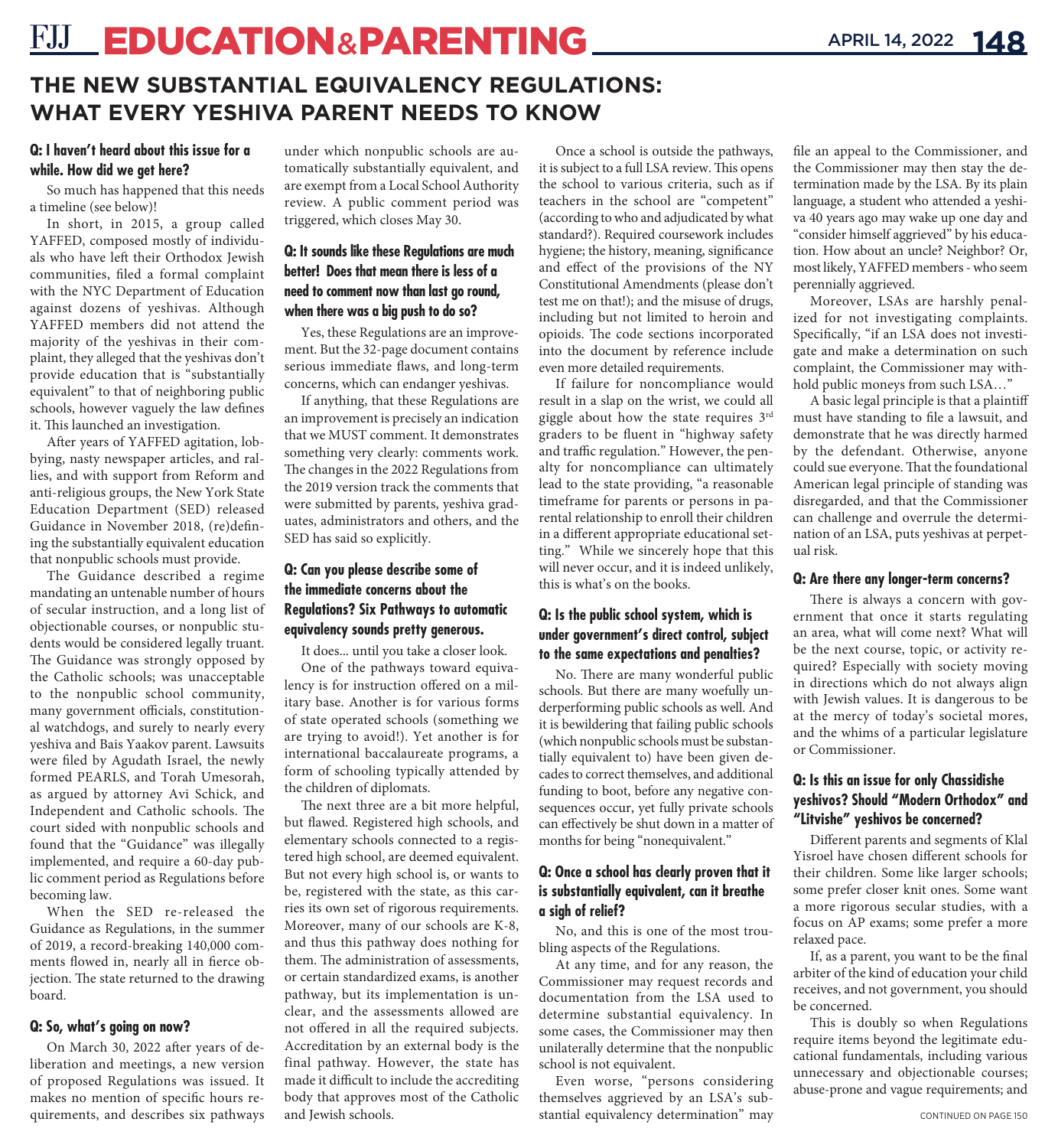# **FJJ\_EDUCATION&PARENTING**

## **THE NEW SUBSTANTIAL EQUIVALENCY REGULATIONS: WHAT EVERY YESHIVA PARENT NEEDS TO KNOW**

#### **Q: I haven't heard about this issue for a while. How did we get here?**

So much has happened that this needs a timeline (see below)!

In short, in 2015, a group called YAFFED, composed mostly of individuals who have left their Orthodox Jewish communities, filed a formal complaint with the NYC Department of Education against dozens of yeshivas. Although YAFFED members did not attend the majority of the yeshivas in their complaint, they alleged that the yeshivas don't provide education that is "substantially equivalent" to that of neighboring public schools, however vaguely the law defines it. This launched an investigation.

After years of YAFFED agitation, lobbying, nasty newspaper articles, and rallies, and with support from Reform and anti-religious groups, the New York State Education Department (SED) released Guidance in November 2018, (re)defining the substantially equivalent education that nonpublic schools must provide.

The Guidance described a regime mandating an untenable number of hours of secular instruction, and a long list of objectionable courses, or nonpublic students would be considered legally truant. The Guidance was strongly opposed by the Catholic schools; was unacceptable to the nonpublic school community, many government officials, constitutional watchdogs, and surely to nearly every yeshiva and Bais Yaakov parent. Lawsuits were filed by Agudath Israel, the newly formed PEARLS, and Torah Umesorah, as argued by attorney Avi Schick, and Independent and Catholic schools. The court sided with nonpublic schools and found that the "Guidance" was illegally implemented, and require a 60-day public comment period as Regulations before becoming law.

When the SED re-released the Guidance as Regulations, in the summer of 2019, a record-breaking 140,000 comments flowed in, nearly all in fierce objection. The state returned to the drawing board.

#### **Q: So, what's going on now?**

On March 30, 2022 after years of deliberation and meetings, a new version of proposed Regulations was issued. It makes no mention of specific hours requirements, and describes six pathways under which nonpublic schools are automatically substantially equivalent, and are exempt from a Local School Authority review. A public comment period was triggered, which closes May 30.

### **Q: It sounds like these Regulations are much better! Does that mean there is less of a need to comment now than last go round, when there was a big push to do so?**

Yes, these Regulations are an improvement. But the 32-page document contains serious immediate flaws, and long-term concerns, which can endanger yeshivas.

If anything, that these Regulations are an improvement is precisely an indication that we MUST comment. It demonstrates something very clearly: comments work. The changes in the 2022 Regulations from the 2019 version track the comments that were submitted by parents, yeshiva graduates, administrators and others, and the SED has said so explicitly.

#### **Q: Can you please describe some of the immediate concerns about the Regulations? Six Pathways to automatic equivalency sounds pretty generous.**

It does... until you take a closer look. One of the pathways toward equiva-

lency is for instruction offered on a military base. Another is for various forms of state operated schools (something we are trying to avoid!). Yet another is for international baccalaureate programs, a form of schooling typically attended by the children of diplomats.

The next three are a bit more helpful, but flawed. Registered high schools, and elementary schools connected to a registered high school, are deemed equivalent. But not every high school is, or wants to be, registered with the state, as this carries its own set of rigorous requirements. Moreover, many of our schools are K-8, and thus this pathway does nothing for them. The administration of assessments, or certain standardized exams, is another pathway, but its implementation is unclear, and the assessments allowed are not offered in all the required subjects. Accreditation by an external body is the final pathway. However, the state has made it difficult to include the accrediting body that approves most of the Catholic and Jewish schools.

Once a school is outside the pathways, it is subject to a full LSA review. This opens the school to various criteria, such as if teachers in the school are "competent" (according to who and adjudicated by what standard?). Required coursework includes hygiene; the history, meaning, significance and effect of the provisions of the NY Constitutional Amendments (please don't test me on that!); and the misuse of drugs, including but not limited to heroin and opioids. The code sections incorporated into the document by reference include even more detailed requirements.

If failure for noncompliance would result in a slap on the wrist, we could all giggle about how the state requires 3rd graders to be fluent in "highway safety and traffic regulation." However, the penalty for noncompliance can ultimately lead to the state providing, "a reasonable timeframe for parents or persons in parental relationship to enroll their children in a different appropriate educational setting." While we sincerely hope that this will never occur, and it is indeed unlikely, this is what's on the books.

#### **Q: Is the public school system, which is under government's direct control, subject to the same expectations and penalties?**

No. There are many wonderful public schools. But there are many woefully underperforming public schools as well. And it is bewildering that failing public schools (which nonpublic schools must be substantially equivalent to) have been given decades to correct themselves, and additional funding to boot, before any negative consequences occur, yet fully private schools can effectively be shut down in a matter of months for being "nonequivalent."

#### **Q: Once a school has clearly proven that it is substantially equivalent, can it breathe a sigh of relief?**

No, and this is one of the most troubling aspects of the Regulations.

At any time, and for any reason, the Commissioner may request records and documentation from the LSA used to determine substantial equivalency. In some cases, the Commissioner may then unilaterally determine that the nonpublic school is not equivalent.

Even worse, "persons considering themselves aggrieved by an LSA's substantial equivalency determination" may file an appeal to the Commissioner, and the Commissioner may then stay the determination made by the LSA. By its plain language, a student who attended a yeshiva 40 years ago may wake up one day and "consider himself aggrieved" by his education. How about an uncle? Neighbor? Or, most likely, YAFFED members - who seem perennially aggrieved.

Moreover, LSAs are harshly penalized for not investigating complaints. Specifically, "if an LSA does not investigate and make a determination on such complaint, the Commissioner may withhold public moneys from such LSA…"

A basic legal principle is that a plaintiff must have standing to file a lawsuit, and demonstrate that he was directly harmed by the defendant. Otherwise, anyone could sue everyone. That the foundational American legal principle of standing was disregarded, and that the Commissioner can challenge and overrule the determination of an LSA, puts yeshivas at perpetual risk.

#### **Q: Are there any longer-term concerns?**

There is always a concern with government that once it starts regulating an area, what will come next? What will be the next course, topic, or activity required? Especially with society moving in directions which do not always align with Jewish values. It is dangerous to be at the mercy of today's societal mores, and the whims of a particular legislature or Commissioner.

#### **Q: Is this an issue for only Chassidishe yeshivos? Should "Modern Orthodox" and "Litvishe" yeshivos be concerned?**

Different parents and segments of Klal Yisroel have chosen different schools for their children. Some like larger schools; some prefer closer knit ones. Some want a more rigorous secular studies, with a focus on AP exams; some prefer a more relaxed pace.

If, as a parent, you want to be the final arbiter of the kind of education your child receives, and not government, you should be concerned.

This is doubly so when Regulations require items beyond the legitimate educational fundamentals, including various unnecessary and objectionable courses; abuse-prone and vague requirements; and